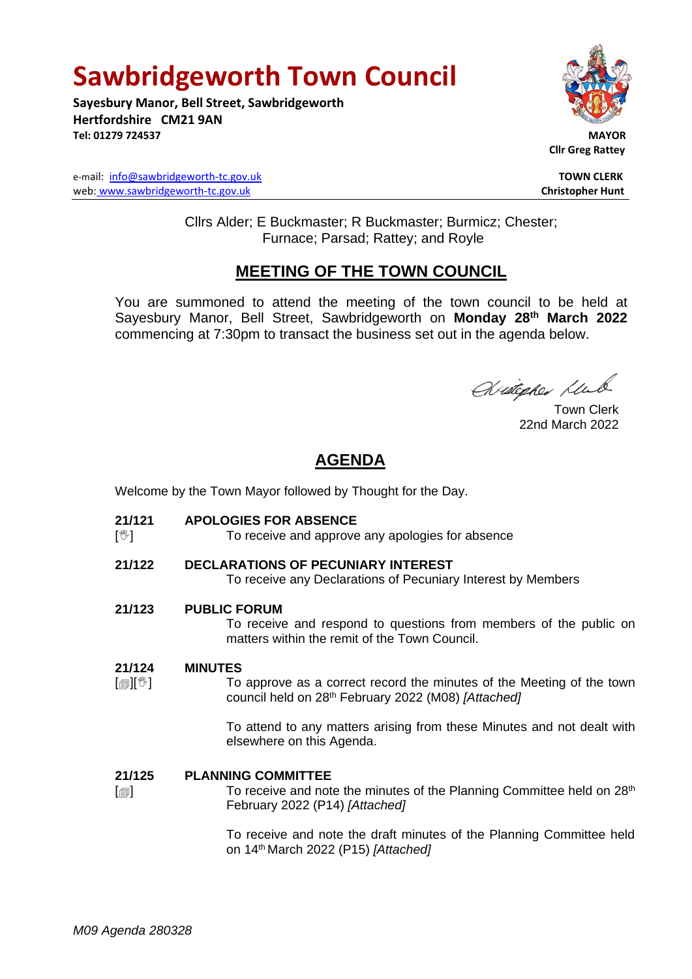# **Sawbridgeworth Town Council**

**Sayesbury Manor, Bell Street, Sawbridgeworth Hertfordshire CM21 9AN Tel: 01279 724537 MAYOR**





 **Cllr Greg Rattey**

Cllrs Alder; E Buckmaster; R Buckmaster; Burmicz; Chester; Furnace; Parsad; Rattey; and Royle

### **MEETING OF THE TOWN COUNCIL**

You are summoned to attend the meeting of the town council to be held at Sayesbury Manor, Bell Street, Sawbridgeworth on **Monday 28th March 2022** commencing at 7:30pm to transact the business set out in the agenda below.

Widepher Klub

22nd March 2022

# **AGENDA**

Welcome by the Town Mayor followed by Thought for the Day.

- **21/121 APOLOGIES FOR ABSENCE**
- $\mathbb{N}$ To receive and approve any apologies for absence

## **21/122 DECLARATIONS OF PECUNIARY INTEREST**

To receive any Declarations of Pecuniary Interest by Members

### **21/123 PUBLIC FORUM**

To receive and respond to questions from members of the public on matters within the remit of the Town Council.

#### **21/124 MINUTES**

 $\mathbb{I}$   $\mathbb{I}$   $\mathbb{I}$ To approve as a correct record the minutes of the Meeting of the town council held on 28 th February 2022 (M08) *[Attached]*

> To attend to any matters arising from these Minutes and not dealt with elsewhere on this Agenda.

#### **21/125 PLANNING COMMITTEE**

 $\lceil$  $\blacksquare$ To receive and note the minutes of the Planning Committee held on 28<sup>th</sup> February 2022 (P14) *[Attached]*

> To receive and note the draft minutes of the Planning Committee held on 14 th March 2022 (P15) *[Attached]*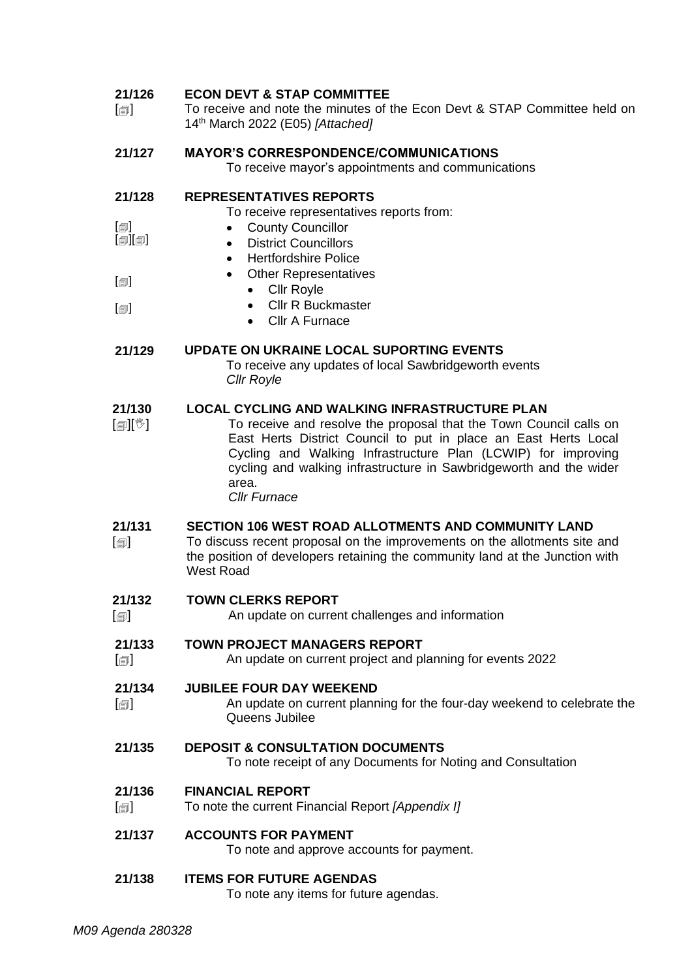#### **21/126 ECON DEVT & STAP COMMITTEE**

 $\lceil$  $\blacksquare$ To receive and note the minutes of the Econ Devt & STAP Committee held on 14 th March 2022 (E05) *[Attached]*

#### **21/127 MAYOR'S CORRESPONDENCE/COMMUNICATIONS**

To receive mayor's appointments and communications

#### **21/128 REPRESENTATIVES REPORTS**

To receive representatives reports from:

- $[\text{m}]$  $\overline{[}$ • County Councillor
	- District Councillors
	- Hertfordshire Police
	- Other Representatives
	- Cllr Royle

 $\lbrack \blacksquare \rbrack$ 

 $\lceil$  $\text{\small{[}}\text{\small{[}}\text{\small{[}}\text{\small{[}}\text{\small{[}}\text{\small{[}}\text{\small{[}}\text{\small{[}}\text{\small{[}}\text{\small{[}}\text{\small{[}}\text{\small{[}}\text{\small{[}}\text{\small{[}}\text{\small{[}}\text{\small{[}}\text{\small{[}}\text{\small{[}}\text{\small{[}}\text{\small{[}}\text{\small{[}}\text{\small{[}}\text{\small{[}}\text{\small{[}}\text{\small{[}}\text{\small{[}}\text{\small{[}}\text{\small{[}}\text{\small{[}}\text{\small{[}}\text{\small{$ 

- Cllr R Buckmaster
	- Cllr A Furnace

#### **21/129 UPDATE ON UKRAINE LOCAL SUPORTING EVENTS**

To receive any updates of local Sawbridgeworth events *Cllr Royle*

#### **21/130 LOCAL CYCLING AND WALKING INFRASTRUCTURE PLAN**

 $\mathbb{E}[\mathbb{E}^{\mathbb{E}}]$ To receive and resolve the proposal that the Town Council calls on East Herts District Council to put in place an East Herts Local Cycling and Walking Infrastructure Plan (LCWIP) for improving cycling and walking infrastructure in Sawbridgeworth and the wider area.

*Cllr Furnace*

#### **21/131 SECTION 106 WEST ROAD ALLOTMENTS AND COMMUNITY LAND**

 $\lceil$  $\blacksquare$ To discuss recent proposal on the improvements on the allotments site and the position of developers retaining the community land at the Junction with West Road

#### **21/132 TOWN CLERKS REPORT**

- $\lceil$  $\blacksquare$ An update on current challenges and information
- **21/133 TOWN PROJECT MANAGERS REPORT**
- $\lceil$ An update on current project and planning for events 2022

#### **21/134 JUBILEE FOUR DAY WEEKEND**

- $\lceil$ An update on current planning for the four-day weekend to celebrate the Queens Jubilee
- **21/135 DEPOSIT & CONSULTATION DOCUMENTS** To note receipt of any Documents for Noting and Consultation

#### **21/136 FINANCIAL REPORT**

 $\lceil$ To note the current Financial Report *[Appendix I]*

### **21/137 ACCOUNTS FOR PAYMENT**

To note and approve accounts for payment.

### **21/138 ITEMS FOR FUTURE AGENDAS**

To note any items for future agendas.